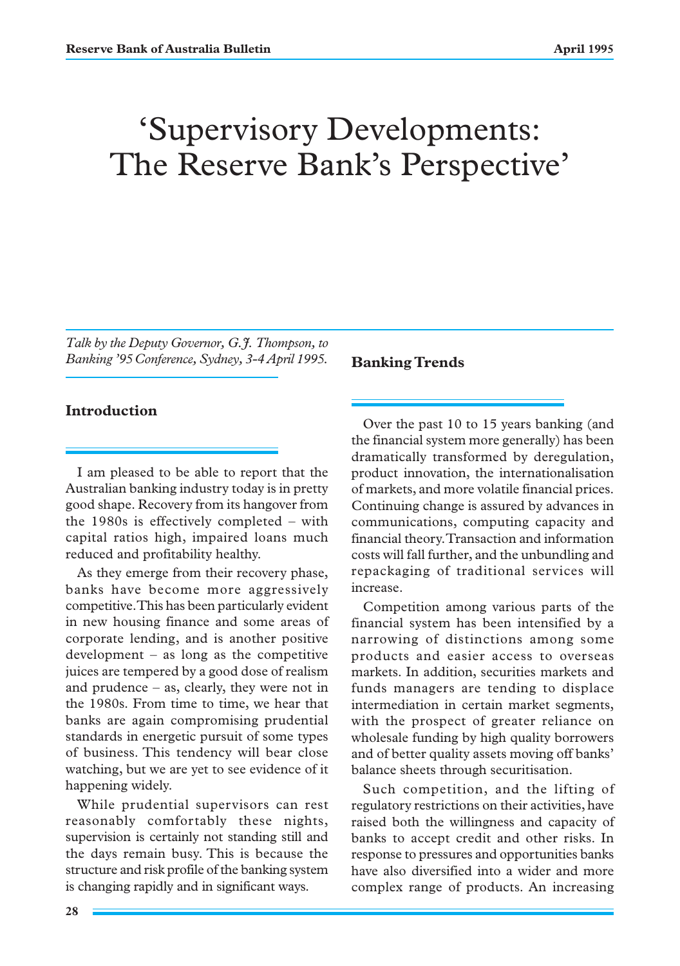# 'Supervisory Developments: The Reserve Bank's Perspective'

*Talk by the Deputy Governor, G.J. Thompson, to Banking '95 Conference, Sydney, 3-4 April 1995.*

## **Introduction**

I am pleased to be able to report that the Australian banking industry today is in pretty good shape. Recovery from its hangover from the 1980s is effectively completed – with capital ratios high, impaired loans much reduced and profitability healthy.

As they emerge from their recovery phase, banks have become more aggressively competitive. This has been particularly evident in new housing finance and some areas of corporate lending, and is another positive development – as long as the competitive juices are tempered by a good dose of realism and prudence – as, clearly, they were not in the 1980s. From time to time, we hear that banks are again compromising prudential standards in energetic pursuit of some types of business. This tendency will bear close watching, but we are yet to see evidence of it happening widely.

While prudential supervisors can rest reasonably comfortably these nights, supervision is certainly not standing still and the days remain busy. This is because the structure and risk profile of the banking system is changing rapidly and in significant ways.

#### **Banking Trends**

Over the past 10 to 15 years banking (and the financial system more generally) has been dramatically transformed by deregulation, product innovation, the internationalisation of markets, and more volatile financial prices. Continuing change is assured by advances in communications, computing capacity and financial theory. Transaction and information costs will fall further, and the unbundling and repackaging of traditional services will increase.

Competition among various parts of the financial system has been intensified by a narrowing of distinctions among some products and easier access to overseas markets. In addition, securities markets and funds managers are tending to displace intermediation in certain market segments, with the prospect of greater reliance on wholesale funding by high quality borrowers and of better quality assets moving off banks' balance sheets through securitisation.

Such competition, and the lifting of regulatory restrictions on their activities, have raised both the willingness and capacity of banks to accept credit and other risks. In response to pressures and opportunities banks have also diversified into a wider and more complex range of products. An increasing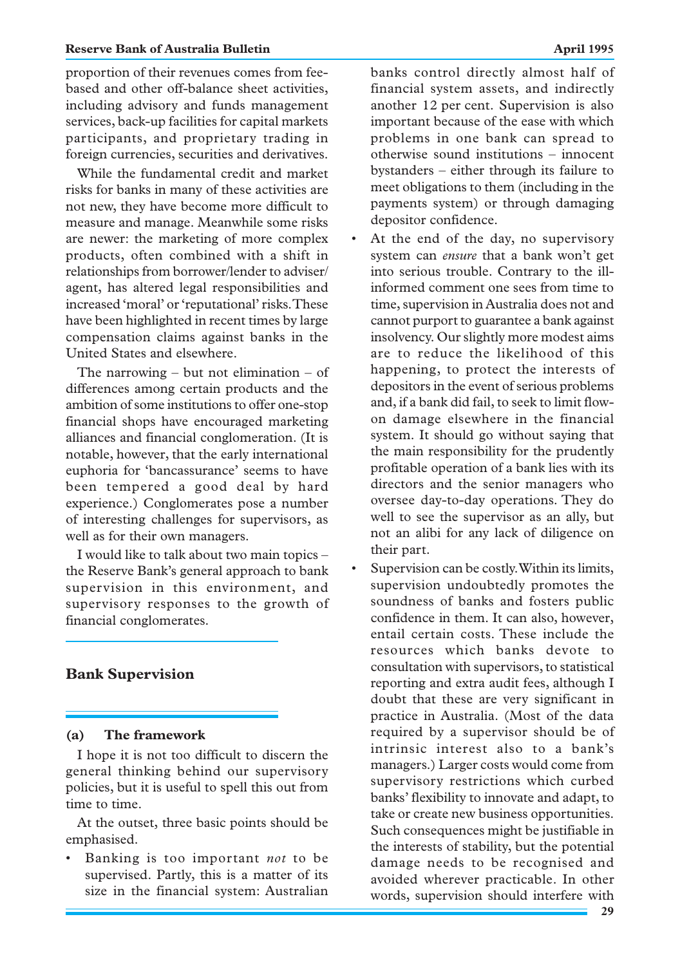proportion of their revenues comes from feebased and other off-balance sheet activities, including advisory and funds management services, back-up facilities for capital markets participants, and proprietary trading in foreign currencies, securities and derivatives.

While the fundamental credit and market risks for banks in many of these activities are not new, they have become more difficult to measure and manage. Meanwhile some risks are newer: the marketing of more complex products, often combined with a shift in relationships from borrower/lender to adviser/ agent, has altered legal responsibilities and increased 'moral' or 'reputational' risks. These have been highlighted in recent times by large compensation claims against banks in the United States and elsewhere.

The narrowing  $-$  but not elimination  $-$  of differences among certain products and the ambition of some institutions to offer one-stop financial shops have encouraged marketing alliances and financial conglomeration. (It is notable, however, that the early international euphoria for 'bancassurance' seems to have been tempered a good deal by hard experience.) Conglomerates pose a number of interesting challenges for supervisors, as well as for their own managers.

I would like to talk about two main topics – the Reserve Bank's general approach to bank supervision in this environment, and supervisory responses to the growth of financial conglomerates.

### **Bank Supervision**

#### **(a) The framework**

I hope it is not too difficult to discern the general thinking behind our supervisory policies, but it is useful to spell this out from time to time.

At the outset, three basic points should be emphasised.

• Banking is too important *not* to be supervised. Partly, this is a matter of its size in the financial system: Australian banks control directly almost half of financial system assets, and indirectly another 12 per cent. Supervision is also important because of the ease with which problems in one bank can spread to otherwise sound institutions – innocent bystanders – either through its failure to meet obligations to them (including in the payments system) or through damaging depositor confidence.

- At the end of the day, no supervisory system can *ensure* that a bank won't get into serious trouble. Contrary to the illinformed comment one sees from time to time, supervision in Australia does not and cannot purport to guarantee a bank against insolvency. Our slightly more modest aims are to reduce the likelihood of this happening, to protect the interests of depositors in the event of serious problems and, if a bank did fail, to seek to limit flowon damage elsewhere in the financial system. It should go without saying that the main responsibility for the prudently profitable operation of a bank lies with its directors and the senior managers who oversee day-to-day operations. They do well to see the supervisor as an ally, but not an alibi for any lack of diligence on their part.
- Supervision can be costly. Within its limits, supervision undoubtedly promotes the soundness of banks and fosters public confidence in them. It can also, however, entail certain costs. These include the resources which banks devote to consultation with supervisors, to statistical reporting and extra audit fees, although I doubt that these are very significant in practice in Australia. (Most of the data required by a supervisor should be of intrinsic interest also to a bank's managers.) Larger costs would come from supervisory restrictions which curbed banks' flexibility to innovate and adapt, to take or create new business opportunities. Such consequences might be justifiable in the interests of stability, but the potential damage needs to be recognised and avoided wherever practicable. In other words, supervision should interfere with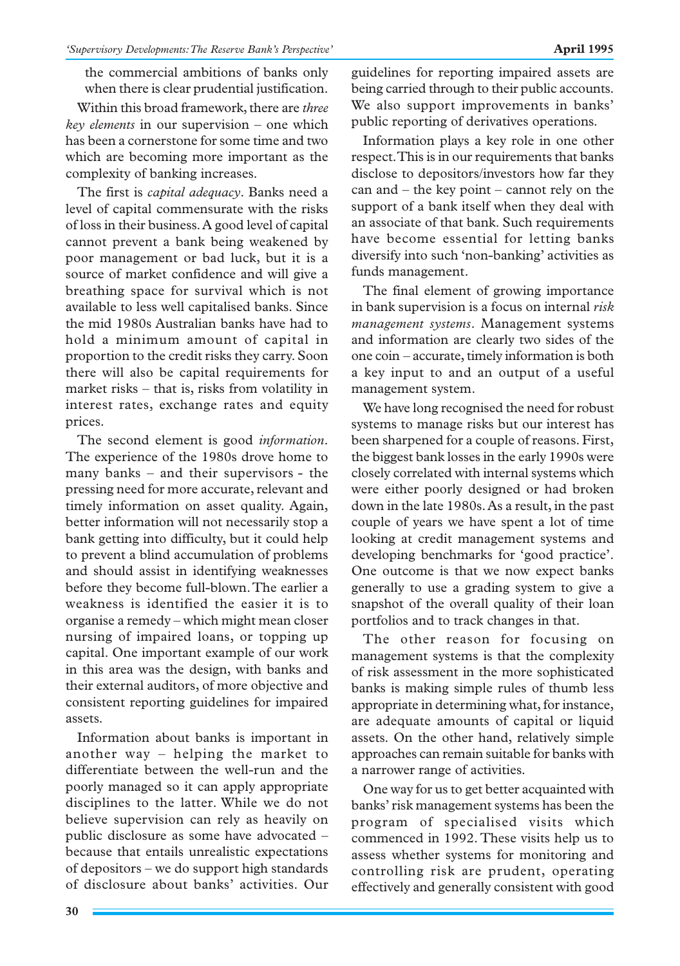the commercial ambitions of banks only when there is clear prudential justification.

Within this broad framework, there are *three key elements* in our supervision – one which has been a cornerstone for some time and two which are becoming more important as the complexity of banking increases.

The first is *capital adequacy*. Banks need a level of capital commensurate with the risks of loss in their business. A good level of capital cannot prevent a bank being weakened by poor management or bad luck, but it is a source of market confidence and will give a breathing space for survival which is not available to less well capitalised banks. Since the mid 1980s Australian banks have had to hold a minimum amount of capital in proportion to the credit risks they carry. Soon there will also be capital requirements for market risks – that is, risks from volatility in interest rates, exchange rates and equity prices.

The second element is good *information*. The experience of the 1980s drove home to many banks – and their supervisors - the pressing need for more accurate, relevant and timely information on asset quality. Again, better information will not necessarily stop a bank getting into difficulty, but it could help to prevent a blind accumulation of problems and should assist in identifying weaknesses before they become full-blown. The earlier a weakness is identified the easier it is to organise a remedy – which might mean closer nursing of impaired loans, or topping up capital. One important example of our work in this area was the design, with banks and their external auditors, of more objective and consistent reporting guidelines for impaired assets.

Information about banks is important in another way – helping the market to differentiate between the well-run and the poorly managed so it can apply appropriate disciplines to the latter. While we do not believe supervision can rely as heavily on public disclosure as some have advocated – because that entails unrealistic expectations of depositors – we do support high standards of disclosure about banks' activities. Our guidelines for reporting impaired assets are being carried through to their public accounts. We also support improvements in banks' public reporting of derivatives operations.

Information plays a key role in one other respect. This is in our requirements that banks disclose to depositors/investors how far they can and – the key point – cannot rely on the support of a bank itself when they deal with an associate of that bank. Such requirements have become essential for letting banks diversify into such 'non-banking' activities as funds management.

The final element of growing importance in bank supervision is a focus on internal *risk management systems*. Management systems and information are clearly two sides of the one coin – accurate, timely information is both a key input to and an output of a useful management system.

We have long recognised the need for robust systems to manage risks but our interest has been sharpened for a couple of reasons. First, the biggest bank losses in the early 1990s were closely correlated with internal systems which were either poorly designed or had broken down in the late 1980s. As a result, in the past couple of years we have spent a lot of time looking at credit management systems and developing benchmarks for 'good practice'. One outcome is that we now expect banks generally to use a grading system to give a snapshot of the overall quality of their loan portfolios and to track changes in that.

The other reason for focusing on management systems is that the complexity of risk assessment in the more sophisticated banks is making simple rules of thumb less appropriate in determining what, for instance, are adequate amounts of capital or liquid assets. On the other hand, relatively simple approaches can remain suitable for banks with a narrower range of activities.

One way for us to get better acquainted with banks' risk management systems has been the program of specialised visits which commenced in 1992. These visits help us to assess whether systems for monitoring and controlling risk are prudent, operating effectively and generally consistent with good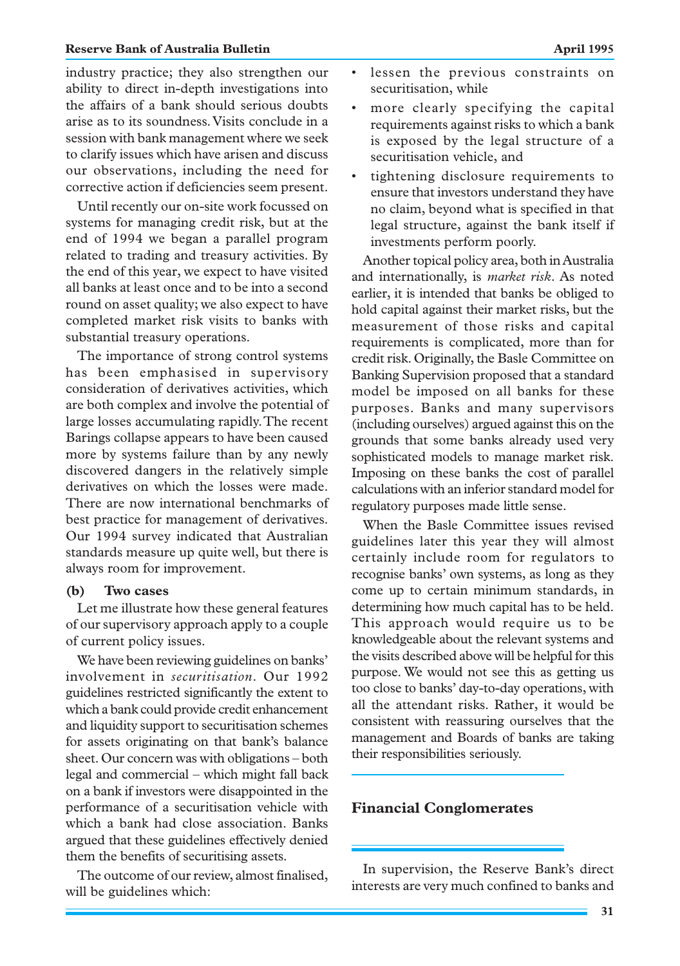#### **Reserve Bank of Australia Bulletin April 1995**

industry practice; they also strengthen our ability to direct in-depth investigations into the affairs of a bank should serious doubts arise as to its soundness. Visits conclude in a session with bank management where we seek to clarify issues which have arisen and discuss our observations, including the need for corrective action if deficiencies seem present.

Until recently our on-site work focussed on systems for managing credit risk, but at the end of 1994 we began a parallel program related to trading and treasury activities. By the end of this year, we expect to have visited all banks at least once and to be into a second round on asset quality; we also expect to have completed market risk visits to banks with substantial treasury operations.

The importance of strong control systems has been emphasised in supervisory consideration of derivatives activities, which are both complex and involve the potential of large losses accumulating rapidly. The recent Barings collapse appears to have been caused more by systems failure than by any newly discovered dangers in the relatively simple derivatives on which the losses were made. There are now international benchmarks of best practice for management of derivatives. Our 1994 survey indicated that Australian standards measure up quite well, but there is always room for improvement.

#### **(b) Two cases**

Let me illustrate how these general features of our supervisory approach apply to a couple of current policy issues.

We have been reviewing guidelines on banks' involvement in *securitisation*. Our 1992 guidelines restricted significantly the extent to which a bank could provide credit enhancement and liquidity support to securitisation schemes for assets originating on that bank's balance sheet. Our concern was with obligations – both legal and commercial – which might fall back on a bank if investors were disappointed in the performance of a securitisation vehicle with which a bank had close association. Banks argued that these guidelines effectively denied them the benefits of securitising assets.

The outcome of our review, almost finalised, will be guidelines which:

- lessen the previous constraints on securitisation, while
- more clearly specifying the capital requirements against risks to which a bank is exposed by the legal structure of a securitisation vehicle, and
- tightening disclosure requirements to ensure that investors understand they have no claim, beyond what is specified in that legal structure, against the bank itself if investments perform poorly.

Another topical policy area, both in Australia and internationally, is *market risk*. As noted earlier, it is intended that banks be obliged to hold capital against their market risks, but the measurement of those risks and capital requirements is complicated, more than for credit risk. Originally, the Basle Committee on Banking Supervision proposed that a standard model be imposed on all banks for these purposes. Banks and many supervisors (including ourselves) argued against this on the grounds that some banks already used very sophisticated models to manage market risk. Imposing on these banks the cost of parallel calculations with an inferior standard model for regulatory purposes made little sense.

When the Basle Committee issues revised guidelines later this year they will almost certainly include room for regulators to recognise banks' own systems, as long as they come up to certain minimum standards, in determining how much capital has to be held. This approach would require us to be knowledgeable about the relevant systems and the visits described above will be helpful for this purpose. We would not see this as getting us too close to banks' day-to-day operations, with all the attendant risks. Rather, it would be consistent with reassuring ourselves that the management and Boards of banks are taking their responsibilities seriously.

#### **Financial Conglomerates**

In supervision, the Reserve Bank's direct interests are very much confined to banks and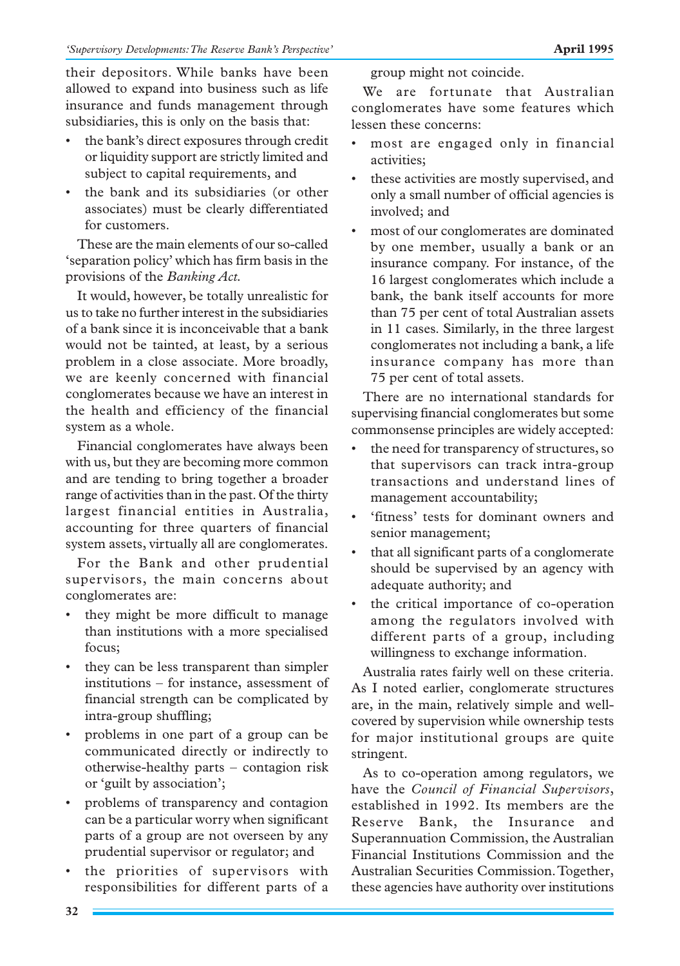their depositors. While banks have been allowed to expand into business such as life insurance and funds management through subsidiaries, this is only on the basis that:

- the bank's direct exposures through credit or liquidity support are strictly limited and subject to capital requirements, and
- the bank and its subsidiaries (or other associates) must be clearly differentiated for customers.

These are the main elements of our so-called 'separation policy' which has firm basis in the provisions of the *Banking Act.*

It would, however, be totally unrealistic for us to take no further interest in the subsidiaries of a bank since it is inconceivable that a bank would not be tainted, at least, by a serious problem in a close associate. More broadly, we are keenly concerned with financial conglomerates because we have an interest in the health and efficiency of the financial system as a whole.

Financial conglomerates have always been with us, but they are becoming more common and are tending to bring together a broader range of activities than in the past. Of the thirty largest financial entities in Australia, accounting for three quarters of financial system assets, virtually all are conglomerates.

For the Bank and other prudential supervisors, the main concerns about conglomerates are:

- they might be more difficult to manage than institutions with a more specialised focus;
- they can be less transparent than simpler institutions – for instance, assessment of financial strength can be complicated by intra-group shuffling;
- problems in one part of a group can be communicated directly or indirectly to otherwise-healthy parts – contagion risk or 'guilt by association';
- problems of transparency and contagion can be a particular worry when significant parts of a group are not overseen by any prudential supervisor or regulator; and
- the priorities of supervisors with responsibilities for different parts of a

group might not coincide.

We are fortunate that Australian conglomerates have some features which lessen these concerns:

- most are engaged only in financial activities;
- these activities are mostly supervised, and only a small number of official agencies is involved; and
- most of our conglomerates are dominated by one member, usually a bank or an insurance company. For instance, of the 16 largest conglomerates which include a bank, the bank itself accounts for more than 75 per cent of total Australian assets in 11 cases. Similarly, in the three largest conglomerates not including a bank, a life insurance company has more than 75 per cent of total assets.

There are no international standards for supervising financial conglomerates but some commonsense principles are widely accepted:

- the need for transparency of structures, so that supervisors can track intra-group transactions and understand lines of management accountability;
- 'fitness' tests for dominant owners and senior management;
- that all significant parts of a conglomerate should be supervised by an agency with adequate authority; and
- the critical importance of co-operation among the regulators involved with different parts of a group, including willingness to exchange information.

Australia rates fairly well on these criteria. As I noted earlier, conglomerate structures are, in the main, relatively simple and wellcovered by supervision while ownership tests for major institutional groups are quite stringent.

As to co-operation among regulators, we have the *Council of Financial Supervisors*, established in 1992. Its members are the Reserve Bank, the Insurance and Superannuation Commission, the Australian Financial Institutions Commission and the Australian Securities Commission. Together, these agencies have authority over institutions